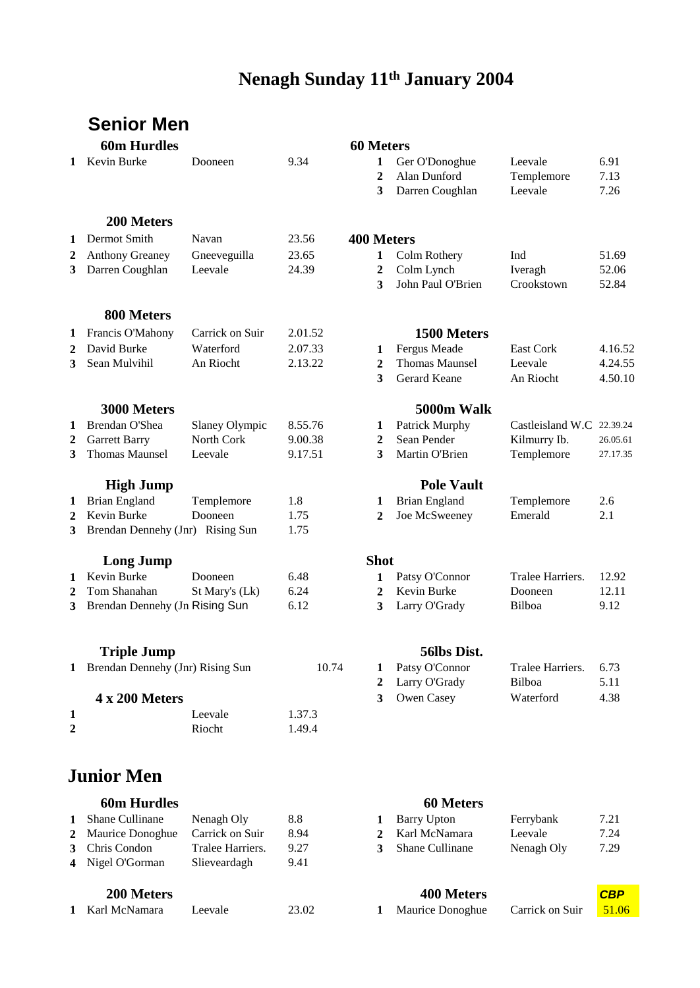# **Nenagh January 11th 2004 Nenagh Sunday 11th January 2004**

|              | Senior Men                                      |                 |              |                        |                                                   |                                  |                      |
|--------------|-------------------------------------------------|-----------------|--------------|------------------------|---------------------------------------------------|----------------------------------|----------------------|
|              | <b>60m Hurdles</b>                              |                 |              | <b>60 Meters</b>       |                                                   |                                  |                      |
| 1            | Kevin Burke                                     | Dooneen         | 9.34         | 1<br>$\mathbf{2}$<br>3 | Ger O'Donoghue<br>Alan Dunford<br>Darren Coughlan | Leevale<br>Templemore<br>Leevale | 6.91<br>7.13<br>7.26 |
|              | 200 Meters                                      |                 |              |                        |                                                   |                                  |                      |
| 1            | Dermot Smith                                    | Navan           | 23.56        | <b>400 Meters</b>      |                                                   |                                  |                      |
| 2            | <b>Anthony Greaney</b>                          | Gneeveguilla    | 23.65        | 1                      | Colm Rothery                                      | Ind                              | 51.69                |
| 3            | Darren Coughlan                                 | Leevale         | 24.39        | $\boldsymbol{2}$<br>3  | Colm Lynch<br>John Paul O'Brien                   | Iveragh<br>Crookstown            | 52.06<br>52.84       |
|              | 800 Meters                                      |                 |              |                        |                                                   |                                  |                      |
| 1            | Francis O'Mahony                                | Carrick on Suir | 2.01.52      |                        | 1500 Meters                                       |                                  |                      |
| $\mathbf{2}$ | David Burke                                     | Waterford       | 2.07.33      | 1                      | Fergus Meade                                      | <b>East Cork</b>                 | 4.16.52              |
| 3            | Sean Mulvihil                                   | An Riocht       | 2.13.22      | $\mathbf{2}$           | <b>Thomas Maunsel</b>                             | Leevale                          | 4.24.55              |
|              |                                                 |                 |              | 3                      | Gerard Keane                                      | An Riocht                        | 4.50.10              |
|              | 3000 Meters                                     |                 |              |                        | 5000m Walk                                        |                                  |                      |
| 1            | Brendan O'Shea                                  | Slaney Olympic  | 8.55.76      | $\mathbf{1}$           | Patrick Murphy                                    | Castleisland W.C 22.39.24        |                      |
| $\mathbf{2}$ | <b>Garrett Barry</b>                            | North Cork      | 9.00.38      | $\overline{2}$         | Sean Pender                                       | Kilmurry Ib.                     | 26.05.61             |
| 3            | <b>Thomas Maunsel</b>                           | Leevale         | 9.17.51      | 3                      | Martin O'Brien                                    | Templemore                       | 27.17.35             |
|              | <b>High Jump</b>                                |                 |              |                        | <b>Pole Vault</b>                                 |                                  |                      |
| 1            | <b>Brian England</b>                            | Templemore      | 1.8          | 1                      | <b>Brian England</b>                              | Templemore                       | 2.6                  |
| 2<br>3       | Kevin Burke<br>Brendan Dennehy (Jnr) Rising Sun | Dooneen         | 1.75<br>1.75 | $\mathbf{2}$           | Joe McSweeney                                     | Emerald                          | 2.1                  |
|              |                                                 |                 |              |                        |                                                   |                                  |                      |
|              | <b>Long Jump</b>                                |                 |              | <b>Shot</b>            |                                                   |                                  |                      |
| 1            | Kevin Burke                                     | Dooneen         | 6.48         | 1                      | Patsy O'Connor                                    | Tralee Harriers.                 | 12.92                |
| 2            | Tom Shanahan                                    | St Mary's (Lk)  | 6.24         | 2                      | Kevin Burke                                       | Dooneen                          | 12.11                |
| 3            | Brendan Dennehy (Jn Rising Sun                  |                 | 6.12         | 3                      | Larry O'Grady                                     | Bilboa                           | 9.12                 |
|              | <b>Triple Jump</b>                              |                 |              |                        | 56lbs Dist.                                       |                                  |                      |
| 1            | Brendan Dennehy (Jnr) Rising Sun                |                 | 10.74        | 1                      | Patsy O'Connor                                    | Tralee Harriers.                 | 6.73                 |
|              |                                                 |                 |              | $\overline{2}$         | Larry O'Grady                                     | Bilboa                           | 5.11                 |
|              | 4 x 200 Meters                                  |                 |              | 3                      | Owen Casey                                        | Waterford                        | 4.38                 |
| $\mathbf 1$  |                                                 | Leevale         | 1.37.3       |                        |                                                   |                                  |                      |
| 2            |                                                 | Riocht          | 1.49.4       |                        |                                                   |                                  |                      |
|              | <b>Junior Men</b>                               |                 |              |                        |                                                   |                                  |                      |
|              |                                                 |                 |              |                        |                                                   |                                  |                      |
|              | <b>60m Hurdles</b>                              |                 |              |                        | 60 Meters                                         |                                  |                      |

| 1 Shane Cullinane  | Nenagh Oly       | 8.8  |   | Barry Upton     | Ferrybank  | 7.21 |
|--------------------|------------------|------|---|-----------------|------------|------|
| 2 Maurice Donoghue | Carrick on Suir  | 8.94 |   | 2 Karl McNamara | Leevale    | 7.24 |
| 3 Chris Condon     | Tralee Harriers. | 9.27 | 3 | Shane Cullinane | Nenagh Oly | 7.29 |
| 4 Nigel O'Gorman   | Slieveardagh     | 9.41 |   |                 |            |      |
|                    |                  |      |   |                 |            |      |
|                    |                  |      |   |                 |            |      |

### **200 Meters 400 Meters** *CBP*

| 1 Karl McNamara | eevale. | 23.02 | Maurice Donoghue | Carrick on Suir | 51.06 |
|-----------------|---------|-------|------------------|-----------------|-------|
|                 |         |       |                  |                 |       |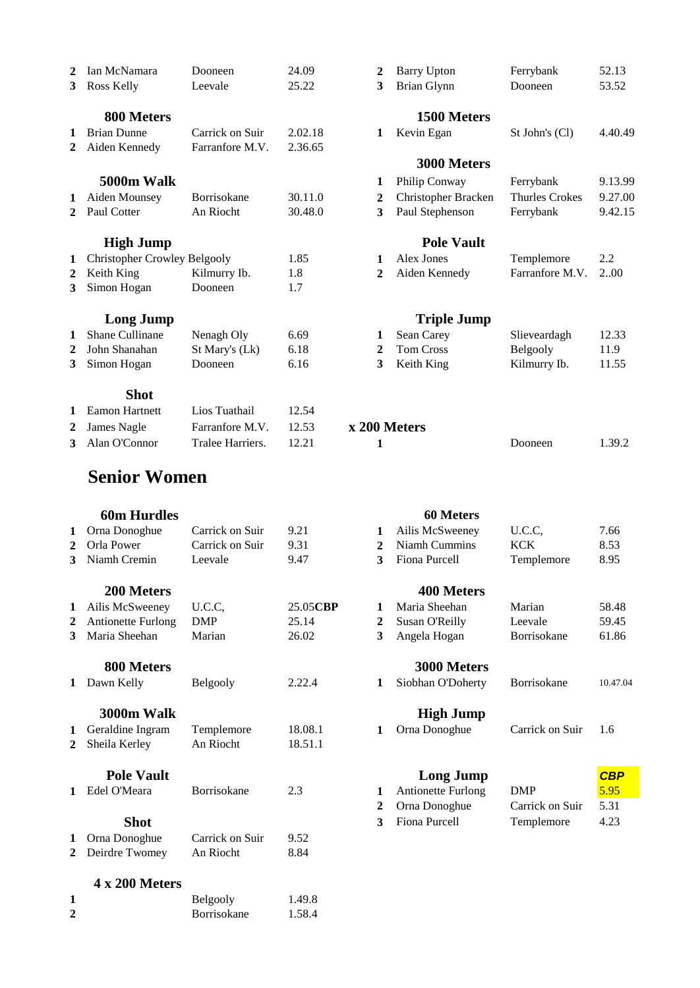| 2            | Ian McNamara                        | Dooneen          | 24.09   | 2            | Barry Upton         | Ferrybank             | 52.13   |
|--------------|-------------------------------------|------------------|---------|--------------|---------------------|-----------------------|---------|
| 3            | Ross Kelly                          | Leevale          | 25.22   | 3            | <b>Brian Glynn</b>  | Dooneen               | 53.52   |
|              | 800 Meters                          |                  |         |              | 1500 Meters         |                       |         |
| 1            | <b>Brian Dunne</b>                  | Carrick on Suir  | 2.02.18 | 1            | Kevin Egan          | St John's (Cl)        | 4.40.49 |
| $\mathbf{2}$ | Aiden Kennedy                       | Farranfore M.V.  | 2.36.65 |              |                     |                       |         |
|              |                                     |                  |         |              | 3000 Meters         |                       |         |
|              | 5000m Walk                          |                  |         | 1            | Philip Conway       | Ferrybank             | 9.13.99 |
| 1            | Aiden Mounsey                       | Borrisokane      | 30.11.0 | 2            | Christopher Bracken | <b>Thurles Crokes</b> | 9.27.00 |
| 2            | Paul Cotter                         | An Riocht        | 30.48.0 | 3            | Paul Stephenson     | Ferrybank             | 9.42.15 |
|              | <b>High Jump</b>                    |                  |         |              | <b>Pole Vault</b>   |                       |         |
| 1            | <b>Christopher Crowley Belgooly</b> |                  | 1.85    | 1            | Alex Jones          | Templemore            | 2.2     |
| $\mathbf{2}$ | Keith King                          | Kilmurry Ib.     | 1.8     | $\mathbf{2}$ | Aiden Kennedy       | Farranfore M.V.       | 2.00    |
| 3            | Simon Hogan                         | Dooneen          | 1.7     |              |                     |                       |         |
|              | <b>Long Jump</b>                    |                  |         |              | <b>Triple Jump</b>  |                       |         |
| 1            | Shane Cullinane                     | Nenagh Oly       | 6.69    | 1            | Sean Carey          | Slieveardagh          | 12.33   |
| 2            | John Shanahan                       | St Mary's (Lk)   | 6.18    | 2            | <b>Tom Cross</b>    | Belgooly              | 11.9    |
| 3            | Simon Hogan                         | Dooneen          | 6.16    | 3            | Keith King          | Kilmurry Ib.          | 11.55   |
|              | <b>Shot</b>                         |                  |         |              |                     |                       |         |
| 1            | <b>Eamon Hartnett</b>               | Lios Tuathail    | 12.54   |              |                     |                       |         |
| $\mathbf{2}$ | James Nagle                         | Farranfore M.V.  | 12.53   | x 200 Meters |                     |                       |         |
| 3            | Alan O'Connor                       | Tralee Harriers. | 12.21   | 1            |                     | Dooneen               | 1.39.2  |
|              |                                     |                  |         |              |                     |                       |         |

# **Senior Women**

|   | <b>60m Hurdles</b>        |                    |          |                | 60 Meters                 |                 |            |
|---|---------------------------|--------------------|----------|----------------|---------------------------|-----------------|------------|
| 1 | Orna Donoghue             | Carrick on Suir    | 9.21     | 1              | Ailis McSweeney           | U.C.C.          | 7.66       |
| 2 | Orla Power                | Carrick on Suir    | 9.31     | $\mathbf{2}$   | Niamh Cummins             | <b>KCK</b>      | 8.53       |
| 3 | Niamh Cremin              | Leevale            | 9.47     | 3              | Fiona Purcell             | Templemore      | 8.95       |
|   | 200 Meters                |                    |          |                | <b>400 Meters</b>         |                 |            |
| 1 | Ailis McSweeney           | U.C.C.             | 25.05CBP | 1              | Maria Sheehan             | Marian          | 58.48      |
| 2 | <b>Antionette Furlong</b> | <b>DMP</b>         | 25.14    | $\mathbf{2}$   | Susan O'Reilly            | Leevale         | 59.45      |
| 3 | Maria Sheehan             | Marian             | 26.02    | 3              | Angela Hogan              | Borrisokane     | 61.86      |
|   | 800 Meters                |                    |          |                | 3000 Meters               |                 |            |
| 1 | Dawn Kelly                | Belgooly           | 2.22.4   | 1              | Siobhan O'Doherty         | Borrisokane     | 10.47.04   |
|   | 3000m Walk                |                    |          |                | <b>High Jump</b>          |                 |            |
| 1 | Geraldine Ingram          | Templemore         | 18.08.1  | 1              | Orna Donoghue             | Carrick on Suir | 1.6        |
| 2 | Sheila Kerley             | An Riocht          | 18.51.1  |                |                           |                 |            |
|   | <b>Pole Vault</b>         |                    |          |                | <b>Long Jump</b>          |                 | <b>CBP</b> |
|   | Edel O'Meara              | Borrisokane        | 2.3      | 1              | <b>Antionette Furlong</b> | <b>DMP</b>      | 5.95       |
|   |                           |                    |          | $\overline{2}$ | Orna Donoghue             | Carrick on Suir | 5.31       |
|   | <b>Shot</b>               |                    |          | 3              | Fiona Purcell             | Templemore      | 4.23       |
|   | Orna Donoghue             | Carrick on Suir    | 9.52     |                |                           |                 |            |
| 2 | Deirdre Twomey            | An Riocht          | 8.84     |                |                           |                 |            |
|   | 4 x 200 Meters            |                    |          |                |                           |                 |            |
| 1 |                           | Belgooly           | 1.49.8   |                |                           |                 |            |
| 2 |                           | <b>Borrisokane</b> | 1.58.4   |                |                           |                 |            |

| ı McNamara                 | Dooneen         | 24.09   | $\mathbf{2}$ | <b>Barry Upton</b>  | Ferrybank             | 52.13   |
|----------------------------|-----------------|---------|--------------|---------------------|-----------------------|---------|
| ss Kelly                   | Leevale         | 25.22   | 3            | <b>Brian Glynn</b>  | Dooneen               | 53.52   |
| 800 Meters                 |                 |         |              | 1500 Meters         |                       |         |
| ian Dunne                  | Carrick on Suir | 2.02.18 | $\mathbf 1$  | Kevin Egan          | St John's (Cl)        | 4.40.49 |
| den Kennedy                | Farranfore M.V. | 2.36.65 |              |                     |                       |         |
|                            |                 |         |              | 3000 Meters         |                       |         |
| 5000m Walk                 |                 |         | 1            | Philip Conway       | Ferrybank             | 9.13.99 |
| den Mounsey                | Borrisokane     | 30.11.0 | 2            | Christopher Bracken | <b>Thurles Crokes</b> | 9.27.00 |
| ul Cotter                  | An Riocht       | 30.48.0 | 3            | Paul Stephenson     | Ferrybank             | 9.42.15 |
| <b>High Jump</b>           |                 |         |              | <b>Pole Vault</b>   |                       |         |
| ristopher Crowley Belgooly |                 | 1.85    | $\mathbf 1$  | Alex Jones          | Templemore            | 2.2     |
| ith King                   | Kilmurry Ib.    | 1.8     | $\mathbf{2}$ | Aiden Kennedy       | Farranfore M.V.       | 2.00    |
| non Hogan                  | Dooneen         | 1.7     |              |                     |                       |         |
| <b>Long Jump</b>           |                 |         |              | <b>Triple Jump</b>  |                       |         |
| ane Cullinane              | Nenagh Oly      | 6.69    | 1            | Sean Carey          | Slieveardagh          | 12.33   |
| nn Shanahan                | St Mary's (Lk)  | 6.18    | 2            | <b>Tom Cross</b>    | Belgooly              | 11.9    |
| non Hogan                  | Dooneen         | 6.16    | 3            | Keith King          | Kilmurry Ib.          | 11.55   |
| <b>Shot</b>                |                 |         |              |                     |                       |         |

| 2 James Nagle   | Farranfore M.V. 12.53  | x 200 Meters |         |        |
|-----------------|------------------------|--------------|---------|--------|
| 3 Alan O'Connor | Tralee Harriers. 12.21 |              | Dooneen | 1.39.2 |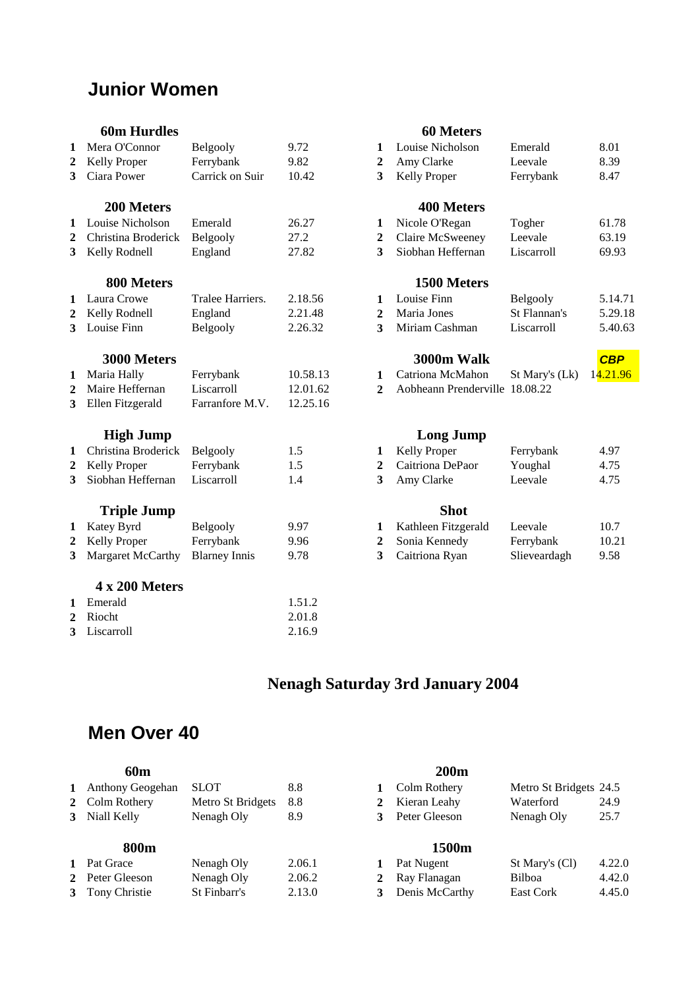# **Junior Women**

### **60m Hurdles 60 Meters**

| 1              | Mera O'Connor       | Belgooly             | 9.72     | 1                | Louise Nicholson               | Emerald        | 8.01       |
|----------------|---------------------|----------------------|----------|------------------|--------------------------------|----------------|------------|
| 2              | Kelly Proper        | Ferrybank            | 9.82     | 2                | Amy Clarke                     | Leevale        | 8.39       |
| 3              | Ciara Power         | Carrick on Suir      | 10.42    | 3                | Kelly Proper                   | Ferrybank      | 8.47       |
|                | 200 Meters          |                      |          |                  | <b>400 Meters</b>              |                |            |
| 1              | Louise Nicholson    | Emerald              | 26.27    | 1                | Nicole O'Regan                 | Togher         | 61.78      |
| 2              | Christina Broderick | Belgooly             | 27.2     | $\boldsymbol{2}$ | Claire McSweeney               | Leevale        | 63.19      |
| 3              | Kelly Rodnell       | England              | 27.82    | 3                | Siobhan Heffernan              | Liscarroll     | 69.93      |
|                | 800 Meters          |                      |          |                  | 1500 Meters                    |                |            |
| 1              | Laura Crowe         | Tralee Harriers.     | 2.18.56  | 1                | Louise Finn                    | Belgooly       | 5.14.      |
| $\mathbf{2}$   | Kelly Rodnell       | England              | 2.21.48  | $\boldsymbol{2}$ | Maria Jones                    | St Flannan's   | 5.29.      |
| 3              | Louise Finn         | Belgooly             | 2.26.32  | 3                | Miriam Cashman                 | Liscarroll     | 5.40.0     |
|                | 3000 Meters         |                      |          |                  | 3000m Walk                     |                | <b>CBP</b> |
| 1              | Maria Hally         | Ferrybank            | 10.58.13 | $\mathbf{1}$     | Catriona McMahon               | St Mary's (Lk) | 14.21.9    |
| 2              | Maire Heffernan     | Liscarroll           | 12.01.62 | $\mathbf{2}$     | Aobheann Prenderville 18.08.22 |                |            |
| 3              | Ellen Fitzgerald    | Farranfore M.V.      | 12.25.16 |                  |                                |                |            |
|                | <b>High Jump</b>    |                      |          |                  | <b>Long Jump</b>               |                |            |
| 1              | Christina Broderick | Belgooly             | 1.5      | 1                | Kelly Proper                   | Ferrybank      | 4.97       |
| 2              | <b>Kelly Proper</b> | Ferrybank            | 1.5      | $\boldsymbol{2}$ | Caitriona DePaor               | Youghal        | 4.75       |
| 3              | Siobhan Heffernan   | Liscarroll           | 1.4      | 3                | Amy Clarke                     | Leevale        | 4.75       |
|                | <b>Triple Jump</b>  |                      |          |                  | <b>Shot</b>                    |                |            |
| 1              | Katey Byrd          | Belgooly             | 9.97     | 1                | Kathleen Fitzgerald            | Leevale        | 10.7       |
| $\overline{2}$ | Kelly Proper        | Ferrybank            | 9.96     | $\boldsymbol{2}$ | Sonia Kennedy                  | Ferrybank      | 10.21      |
| 3              | Margaret McCarthy   | <b>Blarney Innis</b> | 9.78     | 3                | Caitriona Ryan                 | Slieveardagh   | 9.58       |
|                | 4 x 200 Meters      |                      |          |                  |                                |                |            |
| 1              | Emerald             |                      | 1.51.2   |                  |                                |                |            |
| 2              | Riocht              |                      | 2.01.8   |                  |                                |                |            |
| 3              | Liscarroll          |                      | 2.16.9   |                  |                                |                |            |

| Mera O'Connor       | Belgooly                                                                                       | 9.72                                          | 1            | Louise Nicholson    | Emerald                                 | 8.01                                                                                 |
|---------------------|------------------------------------------------------------------------------------------------|-----------------------------------------------|--------------|---------------------|-----------------------------------------|--------------------------------------------------------------------------------------|
| Kelly Proper        | Ferrybank                                                                                      | 9.82                                          | 2            | Amy Clarke          | Leevale                                 | 8.39                                                                                 |
| Ciara Power         | Carrick on Suir                                                                                | 10.42                                         | 3            | <b>Kelly Proper</b> | Ferrybank                               | 8.47                                                                                 |
| 200 Meters          |                                                                                                |                                               |              | 400 Meters          |                                         |                                                                                      |
| Louise Nicholson    | Emerald                                                                                        | 26.27                                         | 1            | Nicole O'Regan      | Togher                                  | 61.78                                                                                |
| Christina Broderick | Belgooly                                                                                       | 27.2                                          | 2            | Claire McSweeney    | Leevale                                 | 63.19                                                                                |
| Kelly Rodnell       | England                                                                                        | 27.82                                         | 3            | Siobhan Heffernan   | Liscarroll                              | 69.93                                                                                |
| 800 Meters          |                                                                                                |                                               |              | 1500 Meters         |                                         |                                                                                      |
| Laura Crowe         | Tralee Harriers.                                                                               | 2.18.56                                       | 1            | Louise Finn         |                                         | 5.14.71                                                                              |
|                     |                                                                                                | 2.21.48                                       | 2            | Maria Jones         | St Flannan's                            | 5.29.18                                                                              |
| Louise Finn         | Belgooly                                                                                       | 2.26.32                                       | 3            | Miriam Cashman      | Liscarroll                              | 5.40.63                                                                              |
| 3000 Meters         |                                                                                                |                                               |              | 3000m Walk          |                                         | <b>CBP</b>                                                                           |
|                     |                                                                                                | 10.58.13                                      | 1            | Catriona McMahon    |                                         | 14.21.96                                                                             |
| Maire Heffernan     | Liscarroll                                                                                     | 12.01.62                                      | 2            |                     |                                         |                                                                                      |
| Ellen Fitzgerald    | Farranfore M.V.                                                                                | 12.25.16                                      |              |                     |                                         |                                                                                      |
|                     |                                                                                                |                                               |              |                     |                                         |                                                                                      |
|                     |                                                                                                |                                               |              |                     |                                         | 4.97                                                                                 |
|                     |                                                                                                |                                               | $\mathbf{2}$ | Caitriona DePaor    |                                         | 4.75                                                                                 |
| Siobhan Heffernan   | Liscarroll                                                                                     | 1.4                                           | 3            | Amy Clarke          | Leevale                                 | 4.75                                                                                 |
| <b>Triple Jump</b>  |                                                                                                |                                               |              | <b>Shot</b>         |                                         |                                                                                      |
|                     | Kelly Rodnell<br>Maria Hally<br><b>High Jump</b><br>Christina Broderick<br><b>Kelly Proper</b> | England<br>Ferrybank<br>Belgooly<br>Ferrybank | 1.5<br>1.5   | 1                   | <b>Long Jump</b><br><b>Kelly Proper</b> | Belgooly<br>St Mary's (Lk)<br>Aobheann Prenderville 18.08.22<br>Ferrybank<br>Youghal |

| www                 |              |       |
|---------------------|--------------|-------|
| Kathleen Fitzgerald | Leevale      | 10.7  |
| Sonia Kennedy       | Ferrybank    | 10.21 |
| Caitriona Ryan      | Slieveardagh | 9.58  |

# **Nenagh Saturday 3rd January 2004**

# **Men Over 40**

|                | 60 <sub>m</sub>  |                   |        |              | <b>200m</b>    |                        |        |
|----------------|------------------|-------------------|--------|--------------|----------------|------------------------|--------|
| $\mathbf{1}$   | Anthony Geogehan | <b>SLOT</b>       | 8.8    |              | Colm Rothery   | Metro St Bridgets 24.5 |        |
|                | 2 Colm Rothery   | Metro St Bridgets | 8.8    | 2            | Kieran Leahy   | Waterford              | 24.9   |
| 3 <sup>1</sup> | Niall Kelly      | Nenagh Oly        | 8.9    | 3            | Peter Gleeson  | Nenagh Oly             | 25.7   |
|                | 800m             |                   |        |              | 1500m          |                        |        |
| $\mathbf{1}$   | Pat Grace        | Nenagh Oly        | 2.06.1 |              | Pat Nugent     | St Mary's (Cl)         | 4.22.0 |
|                | 2 Peter Gleeson  | Nenagh Oly        | 2.06.2 | $\mathbf{2}$ | Ray Flanagan   | Bilboa                 | 4.42.0 |
|                | 3 Tony Christie  | St Finbarr's      | 2.13.0 |              | Denis McCarthy | East Cork              | 4.45.0 |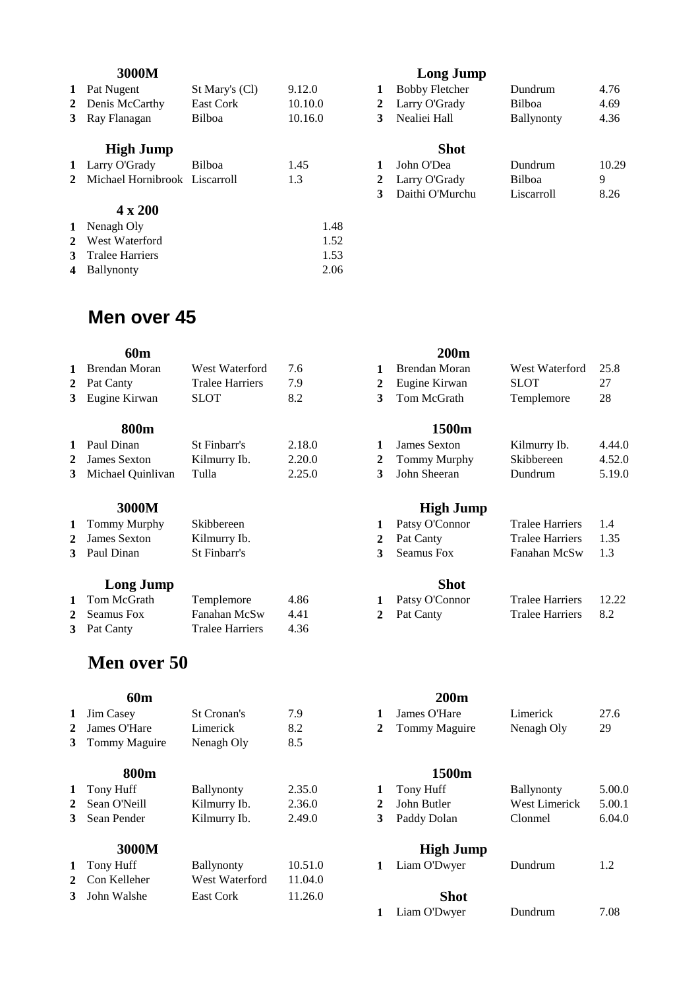|              | 1 Pat Nugent                    | St Mary's (Cl) | 9.12.0  |      |              | <b>Bobby Fletcher</b> | Dundrum           | 4.76  |
|--------------|---------------------------------|----------------|---------|------|--------------|-----------------------|-------------------|-------|
|              | 2 Denis McCarthy                | East Cork      | 10.10.0 |      | $\mathbf{2}$ | Larry O'Grady         | Bilboa            | 4.69  |
|              | 3 Ray Flanagan                  | Bilboa         | 10.16.0 |      | 3            | Nealiei Hall          | <b>Ballynonty</b> | 4.36  |
|              | <b>High Jump</b>                |                |         |      |              | <b>Shot</b>           |                   |       |
|              | 1 Larry O'Grady                 | Bilboa         | 1.45    |      |              | John O'Dea            | Dundrum           | 10.29 |
|              | 2 Michael Hornibrook Liscarroll |                | 1.3     |      |              | 2 Larry O'Grady       | Bilboa            | 9     |
|              |                                 |                |         |      | 3            | Daithi O'Murchu       | Liscarroll        | 8.26  |
|              | $4 \times 200$                  |                |         |      |              |                       |                   |       |
| $\mathbf{1}$ | Nenagh Oly                      |                |         | 1.48 |              |                       |                   |       |
|              | 2 West Waterford                |                |         | 1.52 |              |                       |                   |       |

 Tralee Harriers 1.53 Ballynonty 2.06

### **3000M Long Jump**

|              | <b>Bobby Fletcher</b> | Dundrum           | 4.76  |
|--------------|-----------------------|-------------------|-------|
| $\mathbf{2}$ | Larry O'Grady         | <b>Bilboa</b>     | 4.69  |
| 3            | Nealiei Hall          | <b>Ballynonty</b> | 4.36  |
|              | <b>Shot</b>           |                   |       |
|              | John O'Dea            | Dundrum           | 10.29 |
| 2            | Larry O'Grady         | <b>Bilboa</b>     | 9     |
| 3            | Daithi O'Murchu       | Liscarroll        | 8.26  |
|              |                       |                   |       |

## **Men over 45**

| 60m                 |                        |        |              | 200 <sub>m</sub> |                |        |
|---------------------|------------------------|--------|--------------|------------------|----------------|--------|
| 1 Brendan Moran     | West Waterford         | 7.6    |              | Brendan Moran    | West Waterford | 25.8   |
| 2 Pat Canty         | <b>Tralee Harriers</b> | 7.9    | 2            | Eugine Kirwan    | <b>SLOT</b>    | 27     |
| 3 Eugine Kirwan     | <b>SLOT</b>            | 8.2    | 3            | Tom McGrath      | Templemore     | 28     |
| 800m                |                        |        |              | 1500m            |                |        |
| 1 Paul Dinan        | St Finbarr's           | 2.18.0 |              | James Sexton     | Kilmurry Ib.   | 4.44.0 |
| 2 James Sexton      | Kilmurry Ib.           | 2.20.0 | $\mathbf{2}$ | Tommy Murphy     | Skibbereen     | 4.52.0 |
| 3 Michael Quinlivan | Tulla                  | 2.25.0 | 3            | John Sheeran     | Dundrum        | 5.19.0 |

| 1 Tommy Murphy | Skibbereen   |
|----------------|--------------|
| 2 James Sexton | Kilmurry Ib. |
| 3 Paul Dinan   | St Finbarr's |

### *Cong Jump* **Shot**

| 1 Tom McGrath | Templemore      | 4.86 | 1 Patsy O'Connor | Tralee Harriers | -12.  |
|---------------|-----------------|------|------------------|-----------------|-------|
| 2 Seamus Fox  | Fanahan McSw    | 441  | 2 Pat Canty      | Tralee Harriers | - 8.2 |
| 3 Pat Canty   | Tralee Harriers | 436  |                  |                 |       |

## **Men over 50**

| $\mathbf{1}$ | <b>Jim Casey</b> | St Cronan's       | 7.9     |             | James O'Hare     | Limerick          | 27.6   |
|--------------|------------------|-------------------|---------|-------------|------------------|-------------------|--------|
|              | 2 James O'Hare   | Limerick          | 8.2     | $2^{\circ}$ | Tommy Maguire    | Nenagh Oly        | 29     |
|              | 3 Tommy Maguire  | Nenagh Oly        | 8.5     |             |                  |                   |        |
|              | 800m             |                   |         |             | 1500m            |                   |        |
|              | 1 Tony Huff      | <b>Ballynonty</b> | 2.35.0  | 1           | Tony Huff        | <b>Ballynonty</b> | 5.00.0 |
| $\mathbf{2}$ | Sean O'Neill     | Kilmurry Ib.      | 2.36.0  | 2           | John Butler      | West Limerick     | 5.00.1 |
|              | 3 Sean Pender    | Kilmurry Ib.      | 2.49.0  | 3           | Paddy Dolan      | Clonmel           | 6.04.c |
|              | 3000M            |                   |         |             | <b>High Jump</b> |                   |        |
|              | 1 Tony Huff      | <b>Ballynonty</b> | 10.51.0 | 1           | Liam O'Dwyer     | Dundrum           | 1.2    |
|              | 2 Con Kelleher   | West Waterford    | 11.04.0 |             |                  |                   |        |
| 3            | John Walshe      | East Cork         | 11.26.0 |             | <b>Shot</b>      |                   |        |

## 1 Brendan Moran West Waterford 25.8 Eugine Kirwan SLOT 27 Tom McGrath Templemore 28

|              | 1500m          |              |        |
|--------------|----------------|--------------|--------|
| $\mathbf{1}$ | James Sexton   | Kilmurry Ib. | 4.44.0 |
|              | 2 Tommy Murphy | Skibbereen   | 4.52.0 |
| 3            | John Sheeran   | Dundrum      | 5.19.0 |

### **3000M High Jump**

| 1 Tommy Murphy | Skibbereen   | 1 Patsy O'Connor | Tralee Harriers 1.4  |  |
|----------------|--------------|------------------|----------------------|--|
| 2 James Sexton | Kilmurry Ib. | 2 Pat Canty      | Tralee Harriers 1.35 |  |
| 3 Paul Dinan   | St Finbarr's | 3 Seamus Fox     | Fanahan McSw 1.3     |  |

| 1 Tom McGrath | Templemore        | 4.86 | 1 Patsy O'Connor | Tralee Harriers 12.22 |  |
|---------------|-------------------|------|------------------|-----------------------|--|
| 2 Seamus Fox  | Fanahan McSw 4.41 |      | 2 Pat Canty      | Tralee Harriers 8.2   |  |

### **60m 200m**

| 1 Jim Casey    | St Cronan's |  | 1 James O'Hare  | Limerick   | 27.6 |
|----------------|-------------|--|-----------------|------------|------|
| 2 James O'Hare | Limerick    |  | 2 Tommy Maguire | Nenagh Oly |      |
| - -            |             |  |                 |            |      |

### **800m 1500m**

| 1 Tony Huff    | <b>Ballynonty</b> | 2.35.0 | Tony Huff     | <b>Ballynonty</b> | 5.00.0 |
|----------------|-------------------|--------|---------------|-------------------|--------|
| 2 Sean O'Neill | Kilmurry Ib.      | 2.36.0 | 2 John Butler | West Limerick     | 5.00.1 |
| 3 Sean Pender  | Kilmurry Ib.      | 2.49.0 | 3 Paddy Dolan | Clonmel           | 6.04.0 |

## **High Jump**

Liam O'Dwyer Dundrum 7.08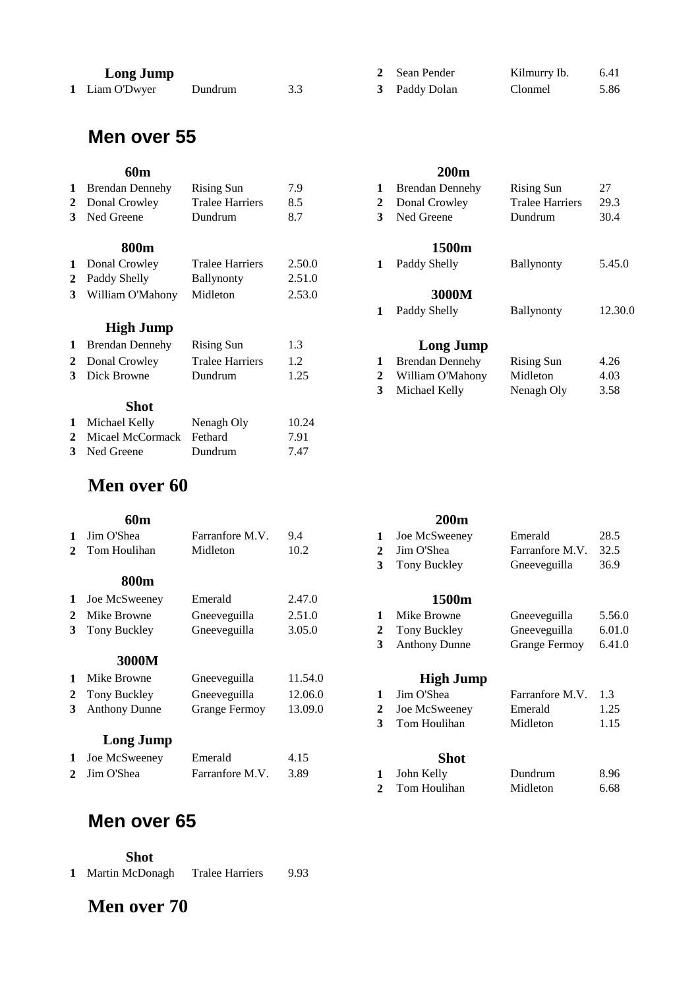| Long Jumi |
|-----------|
|           |

| Liam O'Dwyer<br>3.3<br>Dundrum |  |
|--------------------------------|--|
|--------------------------------|--|

# **Men over 55**

| 1 Brendan Dennehy        | Rising Sun             | 7.9                    |    | <b>Brendan Dennehy</b> | Rising Sun             | 27  |
|--------------------------|------------------------|------------------------|----|------------------------|------------------------|-----|
| 2 Donal Crowley          | <b>Tralee Harriers</b> | 8.5                    |    | Donal Crowley          | <b>Tralee Harriers</b> | 29  |
| 3 Ned Greene             | Dundrum                | 8.7                    | з. | Ned Greene             | Dundrum                | 30  |
| <b>800m</b>              |                        |                        |    | 1500m                  |                        |     |
| 1 Donal Crowley          | <b>Tralee Harriers</b> | 2.50.0                 |    | Paddy Shelly           | <b>Ballynonty</b>      | 5., |
| $A$ D. 11 $\alpha$ 1. 11 | 11.11                  | $\cap$ $\sim$ 1 $\cap$ |    |                        |                        |     |

| 2 Paddy Shelly              | <b>Ballynonty</b> | 2.51.0 |       |
|-----------------------------|-------------------|--------|-------|
| 3 William O'Mahony Midleton |                   | 2.53.0 | 3000M |

### **High Jump**

| 1 Brendan Dennehy | Rising Sun             | 1.3  | <b>Long Jump</b>   |
|-------------------|------------------------|------|--------------------|
| 2 Donal Crowley   | <b>Tralee Harriers</b> | 1.2  | 1 Brendan Dennehy  |
| 3 Dick Browne     | Dundrum                | 1.25 | 2 William O'Mahony |
|                   |                        |      | 3 Michael Kelly    |

## **Shot**

| 1 Michael Kelly            | Nenagh Oly | 10.24 |
|----------------------------|------------|-------|
| 2 Micael McCormack Fethard |            | 7.91  |
| 3 Ned Greene               | Dundrum    | 7.47  |

# **Men over 60**

|                | 60 <sub>m</sub>      |                 |         |   | 200 <sub>m</sub>     |                      |        |
|----------------|----------------------|-----------------|---------|---|----------------------|----------------------|--------|
|                | 1 Jim O'Shea         | Farranfore M.V. | 9.4     | 1 | Joe McSweeney        | Emerald              | 28.5   |
|                | 2 Tom Houlihan       | Midleton        | 10.2    | 2 | Jim O'Shea           | Farranfore M.V.      | 32.5   |
|                |                      |                 |         | 3 | Tony Buckley         | Gneeveguilla         | 36.9   |
|                | 800m                 |                 |         |   |                      |                      |        |
|                | 1 Joe McSweeney      | Emerald         | 2.47.0  |   | 1500m                |                      |        |
| $\mathbf{2}^-$ | Mike Browne          | Gneeveguilla    | 2.51.0  | 1 | Mike Browne          | Gneeveguilla         | 5.56.0 |
|                | 3 Tony Buckley       | Gneeveguilla    | 3.05.0  | 2 | Tony Buckley         | Gneeveguilla         | 6.01.0 |
|                |                      |                 |         | 3 | <b>Anthony Dunne</b> | <b>Grange Fermoy</b> | 6.41.0 |
|                | 3000M                |                 |         |   |                      |                      |        |
|                | 1 Mike Browne        | Gneeveguilla    | 11.54.0 |   | <b>High Jump</b>     |                      |        |
|                | 2 Tony Buckley       | Gneeveguilla    | 12.06.0 | 1 | Jim O'Shea           | Farranfore M.V.      | 1.3    |
| 3              | <b>Anthony Dunne</b> | Grange Fermoy   | 13.09.0 | 2 | Joe McSweeney        | Emerald              | 1.25   |
|                |                      |                 |         | 3 | Tom Houlihan         | Midleton             | 1.15   |
|                |                      |                 |         |   |                      |                      |        |

## **Long Jump**

| 1 Joe McSweeney | Emerald              |  | <b>Shot</b> |         |      |
|-----------------|----------------------|--|-------------|---------|------|
| 2 Jim O'Shea    | Farranfore M.V. 3.89 |  | John Kelly  | Dundrum | 8.96 |

# **Men over 65**

 **Shot**

| Martin McDonagh | Tralee Harriers | 9.93 |
|-----------------|-----------------|------|
|                 |                 |      |

# **Men over 70**

| <b>Long Jump</b> |         |  | 2 Sean Pender | Kilmurry Ib. | 6.41 |
|------------------|---------|--|---------------|--------------|------|
| Liam O'Dwyer     | Dundrum |  | 3 Paddy Dolan | Clonmel      | 5.86 |

### **60m 200m**

| 1 Brendan Dennehy  | Rising Sun             | 7.9    | <b>Brendan Dennehy</b> | <b>Rising Sun</b>      | 27      |
|--------------------|------------------------|--------|------------------------|------------------------|---------|
| 2 Donal Crowley    | <b>Tralee Harriers</b> | 8.5    | Donal Crowley          | <b>Tralee Harriers</b> | 29.3    |
| 3 Ned Greene       | Dundrum                | 8.7    | Ned Greene             | Dundrum                | 30.4    |
| 800m               |                        |        | 1500m                  |                        |         |
| 1 Donal Crowley    | <b>Tralee Harriers</b> | 2.50.0 | Paddy Shelly           | <b>Ballynonty</b>      | 5.45.0  |
| 2 Paddy Shelly     | Ballynonty             | 2.51.0 |                        |                        |         |
| 3 William O'Mahony | Midleton               | 2.53.0 | 3000M                  |                        |         |
|                    |                        |        | Paddy Shelly           | <b>Ballynonty</b>      | 12.30.0 |
| <b>High Jump</b>   |                        |        |                        |                        |         |
| 1 Brendan Dennehy  | Rising Sun             | 1.3    | Long Jump              |                        |         |
| 2 Donal Crowley    | <b>Tralee Harriers</b> | 1.2    | <b>Brendan Dennehy</b> | <b>Rising Sun</b>      | 4.26    |
|                    |                        |        |                        |                        |         |

| 4 DOIIAI CLOWIEY | Trajee Harriers |      | $\bf{1}$ Diendan Denneny | nisilig dul | 4.20 |
|------------------|-----------------|------|--------------------------|-------------|------|
| 3 Dick Browne    | Dundrum         | 1.25 | 2 William O'Mahony       | Midleton    | 4.03 |
|                  |                 |      | 3 Michael Kelly          | Nenagh Oly  | 3.58 |

| 2 Jim O'Shea   | Farranfore M.V. | 32.5 |
|----------------|-----------------|------|
| 3 Tony Buckley | Gneeveguilla    | 36.9 |
| 1500m          |                 |      |

| 1 Mike Browne   | Gneeveguilla         | 5.56.0 |
|-----------------|----------------------|--------|
| 2 Tony Buckley  | Gneeveguilla         | 6.01.0 |
| 3 Anthony Dunne | <b>Grange Fermoy</b> | 6.41.0 |

## **High Jump**

|                | 1 Jim O'Shea   | Farranfore M.V. 1.3 |      |
|----------------|----------------|---------------------|------|
| $\overline{2}$ | Joe McSweeney  | Emerald             | 1.25 |
|                | 3 Tom Houlihan | Midleton            | 1.15 |
|                |                |                     |      |
|                | <b>Shot</b>    |                     |      |
| $\mathbf{1}$   | John Kelly     | Dundrum             | 8.96 |
| $\mathbf{2}$   | Tom Houlihan   | Midleton            | 6.68 |
|                |                |                     |      |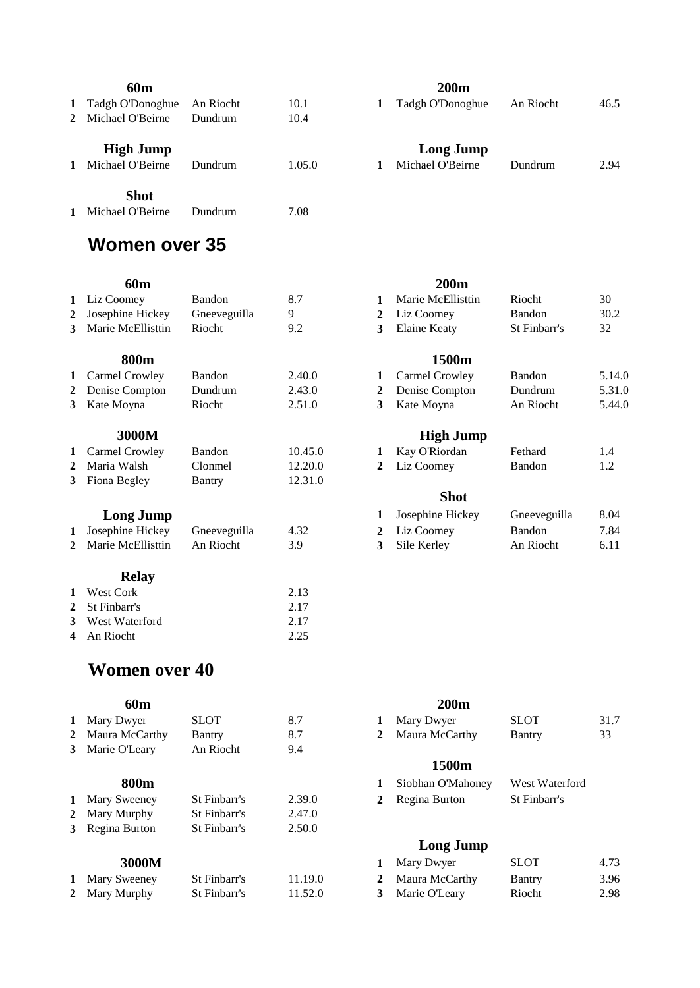|              | 60m                                  |           |        | <b>200m</b>                          |
|--------------|--------------------------------------|-----------|--------|--------------------------------------|
| $\mathbf{1}$ | Tadgh O'Donoghue                     | An Riocht | 10.1   | Tadgh O'Donoghue                     |
|              | 2 Michael O'Beirne                   | Dundrum   | 10.4   |                                      |
| $\mathbf{1}$ | <b>High Jump</b><br>Michael O'Beirne | Dundrum   | 1.05.0 | <b>Long Jump</b><br>Michael O'Beirne |
|              | <b>Shot</b>                          |           |        |                                      |
| $\mathbf{1}$ | Michael O'Beirne                     | Dundrum   | 7.08   |                                      |

### Tadgh O'Donoghue An Riocht 46.5

|   | $1.44 \pm 1.00$ D ono $\leq 1.48$ | <i>L'</i> HI TUOVIII | $\sim$ |
|---|-----------------------------------|----------------------|--------|
|   | Long Jump                         |                      |        |
| 1 | Michael O'Beirne                  | Dundrum              | 2.94   |

# **Women over 35**

| ۰.<br>v<br>v | ×<br>۰.<br>w<br>۰. |  |
|--------------|--------------------|--|
|              |                    |  |

|              | <b>60m</b>          |               |         |              | <b>200m</b>       |                |        |
|--------------|---------------------|---------------|---------|--------------|-------------------|----------------|--------|
|              | 1 Liz Coomey        | <b>Bandon</b> | 8.7     | 1            | Marie McEllisttin | <b>Riocht</b>  | 30     |
| 2            | Josephine Hickey    | Gneeveguilla  | 9       | 2            | Liz Coomey        | <b>Bandon</b>  | 30.2   |
|              | 3 Marie McEllisttin | Riocht        | 9.2     | 3            | Elaine Keaty      | St Finbarr's   | 32     |
|              | 800m                |               |         |              | 1500m             |                |        |
|              | 1 Carmel Crowley    | <b>Bandon</b> | 2.40.0  | 1            | Carmel Crowley    | <b>Bandon</b>  | 5.14.0 |
| $\mathbf{2}$ | Denise Compton      | Dundrum       | 2.43.0  | 2            | Denise Compton    | <b>Dundrum</b> | 5.31.0 |
|              | 3 Kate Moyna        | Riocht        | 2.51.0  | 3            | Kate Moyna        | An Riocht      | 5.44.0 |
|              | 3000M               |               |         |              | <b>High Jump</b>  |                |        |
| $\mathbf{1}$ | Carmel Crowley      | <b>Bandon</b> | 10.45.0 | 1            | Kay O'Riordan     | Fethard        | 1.4    |
|              | 2 Maria Walsh       | Clonmel       | 12.20.0 | $\mathbf{2}$ | Liz Coomey        | Bandon         | 1.2    |
|              | 3 Fiona Begley      | Bantry        | 12.31.0 |              |                   |                |        |
|              |                     |               |         |              | <b>Shot</b>       |                |        |

| <b>LUILE JUILLY</b>             |           |      |               | S <sub>nc</sub> | <u>.</u> |
|---------------------------------|-----------|------|---------------|-----------------|----------|
| 1 Josephine Hickey Gneeveguilla |           | 4.32 | 2 Liz Coomey  | <b>Bandon</b>   | 7.84     |
| 2 Marie McEllisttin             | An Riocht |      | 3 Sile Kerley | An Riocht       | 6.11     |
|                                 |           |      |               |                 |          |

## **Relay**

| 1 West Cork      | 2.13 |
|------------------|------|
| 2 St Finbarr's   | 2.17 |
| 3 West Waterford | 2.17 |
| 4 An Riocht      | 2.25 |

# **Women over 40**

| 1 Mary Dwyer     | SLOT.        | 8.7    |   | Mary Dwyer        | <b>SLOT</b>    | 31 |
|------------------|--------------|--------|---|-------------------|----------------|----|
| 2 Maura McCarthy | Bantry       | 8.7    | 2 | Maura McCarthy    | Bantry         | 33 |
| 3 Marie O'Leary  | An Riocht    | 9.4    |   |                   |                |    |
|                  |              |        |   | 1500m             |                |    |
| 800m             |              |        |   | Siobhan O'Mahoney | West Waterford |    |
| 1 Mary Sweeney   | St Finbarr's | 2.39.0 | 2 | Regina Burton     | St Finbarr's   |    |
| 2 Mary Murphy    | St Finbarr's | 2.47.0 |   |                   |                |    |
| 3 Regina Burton  | St Finbarr's | 2.50.0 |   |                   |                |    |
|                  |              |        |   | <b>Long Jump</b>  |                |    |
|                  |              |        |   |                   |                |    |

| 1 Mary Sweeney | St Finbarr's | 11.19.0 | 2 Maura McCarthy | Bantry | 3.96 |
|----------------|--------------|---------|------------------|--------|------|
| 2 Mary Murphy  | St Finbarr's | 11.52.0 | 3 Marie O'Leary  | Riocht | 2.98 |

|                | 1 Liz Coomey      | Bandon            | 8.7     | 1            | Marie McEllisttin     | Riocht            | 30     |
|----------------|-------------------|-------------------|---------|--------------|-----------------------|-------------------|--------|
| $\mathbf{2}^-$ | Josephine Hickey  | Gneeveguilla      | 9       | 2            | Liz Coomey            | Bandon            | 30.2   |
| 3              | Marie McEllisttin | Riocht            | 9.2     | 3            | Elaine Keaty          | St Finbarr's      | 32     |
|                | 800m              |                   |         |              | 1500m                 |                   |        |
|                | 1 Carmel Crowley  | Bandon            | 2.40.0  | 1            | <b>Carmel Crowley</b> | Bandon            | 5.14.0 |
| $\mathbf{2}^-$ | Denise Compton    | Dundrum           | 2.43.0  | 2            | Denise Compton        | Dundrum           | 5.31.0 |
|                | 3 Kate Moyna      | Riocht            | 2.51.0  | 3            | Kate Moyna            | An Riocht         | 5.44.0 |
|                | 3000M             |                   |         |              | <b>High Jump</b>      |                   |        |
|                | 1 Carmel Crowley  | Bandon            | 10.45.0 | 1            | Kay O'Riordan         | Fethard           | 1.4    |
| $\mathbf{2}^-$ | Maria Walsh       | Clonmel           | 12.20.0 | $\mathbf{2}$ | Liz Coomey            | Bandon            | 1.2    |
|                | 3 Fiona Begley    | Bantry            | 12.31.0 |              |                       |                   |        |
|                |                   |                   |         |              | <b>Shot</b>           |                   |        |
|                | <b>Long Jump</b>  |                   |         | 1            | Josephine Hickey      | Gneeveguilla      | 8.04   |
| 1              | Josephine Hickey  | Gneeveguilla      | 4.32    | $\mathbf{2}$ | Liz Coomey            | <b>Bandon</b>     | 7.84   |
| າ              | Marie McEllisttin | $\Delta n$ Riocht | 3Q      | 2            | $\chi$ ile Kerley     | $\Delta$ n Riocht | 6.11   |

| 60m                                                    |                                                 |     | <b>200m</b>      |             |      |
|--------------------------------------------------------|-------------------------------------------------|-----|------------------|-------------|------|
| 1 Mary Dwyer                                           | SLOT                                            | 8.7 | 1 Mary Dwyer     | <b>SLOT</b> | 31.7 |
| 2 Maura McCarthy                                       | Bantry                                          | 8.7 | 2 Maura McCarthy | Bantry      | 33   |
| $2 \cdot M_{\text{max}} \cdot \text{OPT}_{\text{max}}$ | $\Lambda_{\text{max}}$ D $\Lambda_{\text{max}}$ |     |                  |             |      |

### **1500m**

| 800m   |              |        | 1 Siobhan O'Mahoney | West Waterford |
|--------|--------------|--------|---------------------|----------------|
| weeney | St Finbarr's | 2.39.0 | 2 Regina Burton     | St Finbarr's   |

## **Long Jump**

| 3000M   |              |         | Mary Dwyer       | <b>SLOT</b> | 4.73 |
|---------|--------------|---------|------------------|-------------|------|
| Sweeney | St Finbarr's | 11.19.0 | 2 Maura McCarthy | Bantry      | 3.96 |
| Murphy  | St Finbarr's | 11.52.0 | 3 Marie O'Leary  | Riocht      | 2.98 |